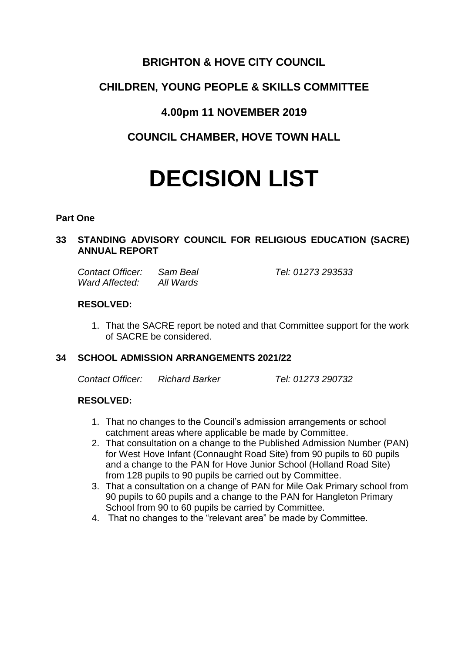# **BRIGHTON & HOVE CITY COUNCIL**

# **CHILDREN, YOUNG PEOPLE & SKILLS COMMITTEE**

# **4.00pm 11 NOVEMBER 2019**

**COUNCIL CHAMBER, HOVE TOWN HALL**

# **DECISION LIST**

#### **Part One**

# **33 STANDING ADVISORY COUNCIL FOR RELIGIOUS EDUCATION (SACRE) ANNUAL REPORT**

| Contact Officer: | Sam Beal  |
|------------------|-----------|
| Ward Affected:   | All Wards |

## **RESOLVED:**

1. That the SACRE report be noted and that Committee support for the work of SACRE be considered.

### **34 SCHOOL ADMISSION ARRANGEMENTS 2021/22**

*Contact Officer: Richard Barker Tel: 01273 290732*

*Contact Officer: Sam Beal Tel: 01273 293533*

# **RESOLVED:**

- 1. That no changes to the Council's admission arrangements or school catchment areas where applicable be made by Committee.
- 2. That consultation on a change to the Published Admission Number (PAN) for West Hove Infant (Connaught Road Site) from 90 pupils to 60 pupils and a change to the PAN for Hove Junior School (Holland Road Site) from 128 pupils to 90 pupils be carried out by Committee.
- 3. That a consultation on a change of PAN for Mile Oak Primary school from 90 pupils to 60 pupils and a change to the PAN for Hangleton Primary School from 90 to 60 pupils be carried by Committee.
- 4. That no changes to the "relevant area" be made by Committee.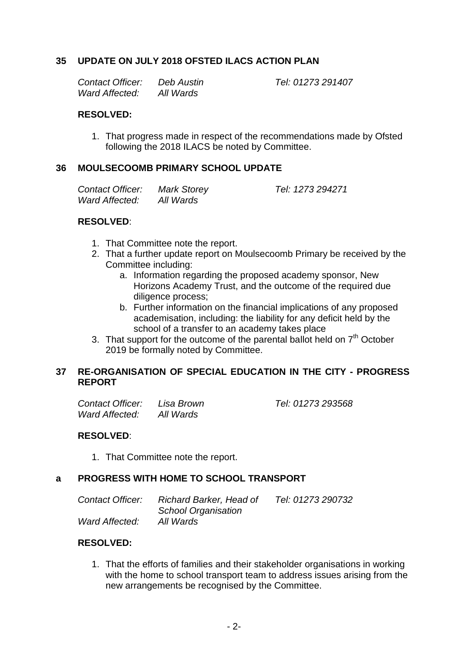## **35 UPDATE ON JULY 2018 OFSTED ILACS ACTION PLAN**

| Contact Officer: | Deb Austin |
|------------------|------------|
| Ward Affected:   | All Wards  |

*Contact Officer: Deb Austin Tel: 01273 291407*

*Contact Officer: Mark Storey Tel: 1273 294271*

#### **RESOLVED:**

1. That progress made in respect of the recommendations made by Ofsted following the 2018 ILACS be noted by Committee.

## **36 MOULSECOOMB PRIMARY SCHOOL UPDATE**

| <b>Contact Officer:</b> | <b>Mark Storey</b> |
|-------------------------|--------------------|
| <b>Ward Affected:</b>   | All Wards          |

#### **RESOLVED**:

- 1. That Committee note the report.
- 2. That a further update report on Moulsecoomb Primary be received by the Committee including:
	- a. Information regarding the proposed academy sponsor, New Horizons Academy Trust, and the outcome of the required due diligence process;
	- b. Further information on the financial implications of any proposed academisation, including: the liability for any deficit held by the school of a transfer to an academy takes place
- 3. That support for the outcome of the parental ballot held on  $7<sup>th</sup>$  October 2019 be formally noted by Committee.

### **37 RE-ORGANISATION OF SPECIAL EDUCATION IN THE CITY - PROGRESS REPORT**

| <b>Contact Officer:</b> | Lisa Brown | Tel: 01273 293568 |
|-------------------------|------------|-------------------|
| Ward Affected:          | All Wards  |                   |

### **RESOLVED**:

1. That Committee note the report.

# **a PROGRESS WITH HOME TO SCHOOL TRANSPORT**

| Contact Officer: | Richard Barker, Head of    | Tel: 01273 290732 |
|------------------|----------------------------|-------------------|
|                  | <b>School Organisation</b> |                   |
| Ward Affected:   | All Wards                  |                   |

### **RESOLVED:**

1. That the efforts of families and their stakeholder organisations in working with the home to school transport team to address issues arising from the new arrangements be recognised by the Committee.